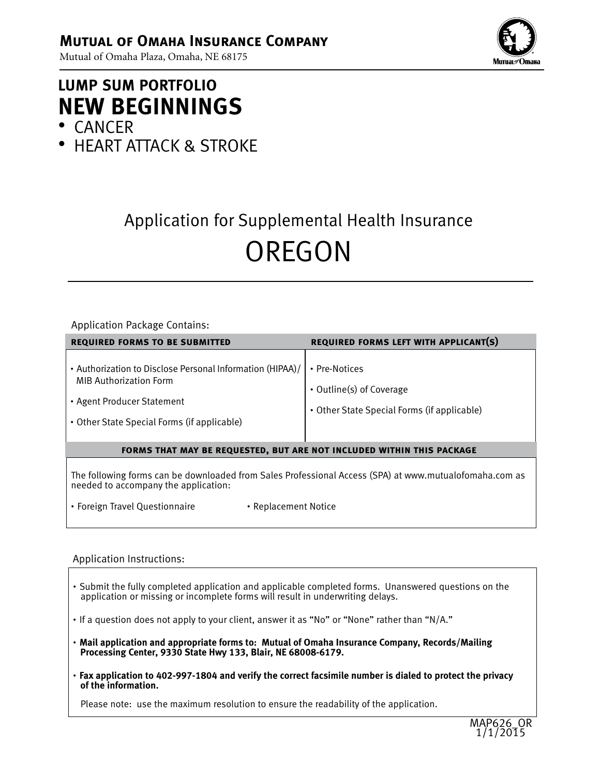Mutual of Omaha Plaza, Omaha, NE 68175



# **LUMP SUM PORTFOLIO NEW BEGINNINGS ·** CANCER

**·** HEART ATTACK & STROKE

# Application for Supplemental Health Insurance OREGON

#### Application Package Contains:

| <b>REQUIRED FORMS TO BE SUBMITTED</b>                                                                                                                                   | <b>REQUIRED FORMS LEFT WITH APPLICANT(S)</b>                                             |  |
|-------------------------------------------------------------------------------------------------------------------------------------------------------------------------|------------------------------------------------------------------------------------------|--|
| • Authorization to Disclose Personal Information (HIPAA)/<br><b>MIB Authorization Form</b><br>• Agent Producer Statement<br>• Other State Special Forms (if applicable) | • Pre-Notices<br>• Outline(s) of Coverage<br>• Other State Special Forms (if applicable) |  |
| <b>FORMS THAT MAY BE REQUESTED, BUT ARE NOT INCLUDED WITHIN THIS PACKAGE</b>                                                                                            |                                                                                          |  |
| The following forms can be downloaded from Sales Professional Access (SPA) at www.mutualofomaha.com as<br>needed to accompany the application:                          |                                                                                          |  |

**·** Foreign Travel Questionnaire **·** Replacement Notice

#### Application Instructions:

- **·** Submit the fully completed application and applicable completed forms. Unanswered questions on the application or missing or incomplete forms will result in underwriting delays.
- **·** If a question does not apply to your client, answer it as "No" or "None" rather than "N/A."
- **· Mail application and appropriate forms to: Mutual of Omaha Insurance Company, Records/Mailing Processing Center, 9330 State Hwy 133, Blair, NE 68008-6179.**
- **· Fax application to 402-997-1804 and verify the correct facsimile number is dialed to protect the privacy of the information.**

Please note: use the maximum resolution to ensure the readability of the application.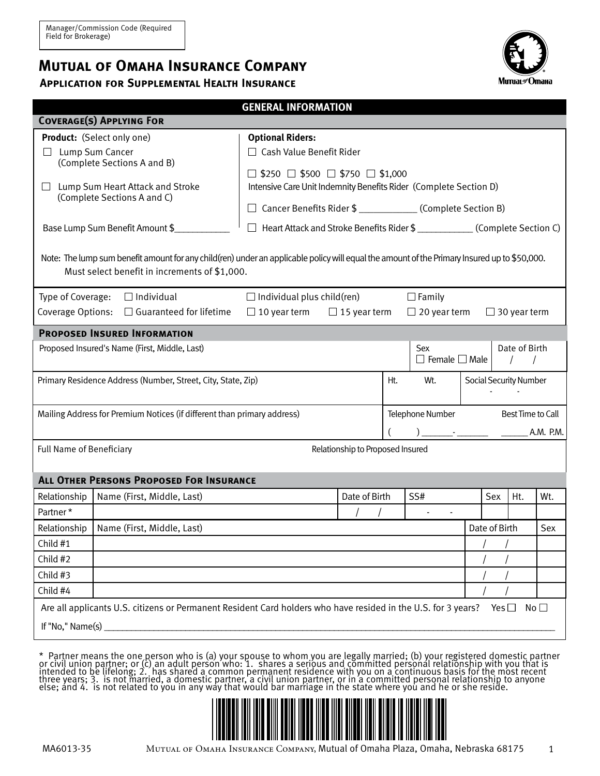## **Mutual of Omaha Insurance Company**

### **Application for Supplemental Health Insurance**



1

|                                                                                                                  |                                                                                                                                              | <b>GENERAL INFORMATION</b>                                    |                                  |     |                           |  |               |                        |              |
|------------------------------------------------------------------------------------------------------------------|----------------------------------------------------------------------------------------------------------------------------------------------|---------------------------------------------------------------|----------------------------------|-----|---------------------------|--|---------------|------------------------|--------------|
|                                                                                                                  | <b>COVERAGE(S) APPLYING FOR</b>                                                                                                              |                                                               |                                  |     |                           |  |               |                        |              |
|                                                                                                                  | <b>Product:</b> (Select only one)                                                                                                            | <b>Optional Riders:</b>                                       |                                  |     |                           |  |               |                        |              |
|                                                                                                                  | Lump Sum Cancer                                                                                                                              | $\Box$ Cash Value Benefit Rider                               |                                  |     |                           |  |               |                        |              |
|                                                                                                                  | (Complete Sections A and B)                                                                                                                  | $\Box$ \$250 $\Box$ \$500 $\Box$ \$750 $\Box$ \$1,000         |                                  |     |                           |  |               |                        |              |
| $\Box$ Lump Sum Heart Attack and Stroke                                                                          | Intensive Care Unit Indemnity Benefits Rider (Complete Section D)                                                                            |                                                               |                                  |     |                           |  |               |                        |              |
|                                                                                                                  | (Complete Sections A and C)                                                                                                                  | Cancer Benefits Rider \$ _______________ (Complete Section B) |                                  |     |                           |  |               |                        |              |
|                                                                                                                  | Base Lump Sum Benefit Amount \$                                                                                                              |                                                               |                                  |     |                           |  |               |                        |              |
|                                                                                                                  |                                                                                                                                              |                                                               |                                  |     |                           |  |               |                        |              |
|                                                                                                                  | Note: The lump sum benefit amount for any child(ren) under an applicable policy will equal the amount of the Primary Insured up to \$50,000. |                                                               |                                  |     |                           |  |               |                        |              |
|                                                                                                                  | Must select benefit in increments of \$1,000.                                                                                                |                                                               |                                  |     |                           |  |               |                        |              |
|                                                                                                                  |                                                                                                                                              |                                                               |                                  |     |                           |  |               |                        |              |
| Type of Coverage:                                                                                                | $\Box$ Individual                                                                                                                            | $\Box$ Individual plus child(ren)                             |                                  |     | $\Box$ Family             |  |               |                        |              |
|                                                                                                                  | Coverage Options: $\Box$ Guaranteed for lifetime                                                                                             | $\Box$ 10 year term                                           | $\Box$ 15 year term              |     | $\Box$ 20 year term       |  |               | $\Box$ 30 year term    |              |
|                                                                                                                  | <b>PROPOSED INSURED INFORMATION</b>                                                                                                          |                                                               |                                  |     |                           |  |               |                        |              |
|                                                                                                                  | Proposed Insured's Name (First, Middle, Last)                                                                                                |                                                               |                                  |     | Sex                       |  |               | Date of Birth          |              |
|                                                                                                                  |                                                                                                                                              |                                                               |                                  |     | $\Box$ Female $\Box$ Male |  |               |                        |              |
|                                                                                                                  | Primary Residence Address (Number, Street, City, State, Zip)                                                                                 |                                                               |                                  | Ht. | Wt.                       |  |               | Social Security Number |              |
|                                                                                                                  |                                                                                                                                              |                                                               |                                  |     |                           |  |               |                        |              |
| Mailing Address for Premium Notices (if different than primary address)<br>Telephone Number<br>Best Time to Call |                                                                                                                                              |                                                               |                                  |     |                           |  |               |                        |              |
|                                                                                                                  |                                                                                                                                              |                                                               |                                  |     |                           |  |               |                        | A.M. P.M.    |
| Full Name of Beneficiary                                                                                         |                                                                                                                                              |                                                               | Relationship to Proposed Insured |     |                           |  |               |                        |              |
|                                                                                                                  |                                                                                                                                              |                                                               |                                  |     |                           |  |               |                        |              |
|                                                                                                                  | <b>ALL OTHER PERSONS PROPOSED FOR INSURANCE</b>                                                                                              |                                                               |                                  |     |                           |  |               |                        |              |
| Relationship                                                                                                     | Name (First, Middle, Last)                                                                                                                   |                                                               | Date of Birth                    |     | SS#                       |  | Sex           | Ht.                    | Wt.          |
| Partner*                                                                                                         |                                                                                                                                              |                                                               |                                  |     |                           |  |               |                        |              |
| Relationship                                                                                                     | Name (First, Middle, Last)                                                                                                                   |                                                               |                                  |     |                           |  | Date of Birth |                        | Sex          |
| Child #1                                                                                                         |                                                                                                                                              |                                                               |                                  |     |                           |  |               |                        |              |
| Child #2                                                                                                         |                                                                                                                                              |                                                               |                                  |     |                           |  |               |                        |              |
| Child #3                                                                                                         |                                                                                                                                              |                                                               |                                  |     |                           |  |               |                        |              |
| Child #4                                                                                                         |                                                                                                                                              |                                                               |                                  |     |                           |  |               |                        |              |
|                                                                                                                  | Are all applicants U.S. citizens or Permanent Resident Card holders who have resided in the U.S. for 3 years?                                |                                                               |                                  |     |                           |  | Yes $\square$ |                        | No $\square$ |
| If "No," Name(s) $\_$                                                                                            |                                                                                                                                              |                                                               |                                  |     |                           |  |               |                        |              |
|                                                                                                                  |                                                                                                                                              |                                                               |                                  |     |                           |  |               |                        |              |

\* Partner means the one person who is (a) your spouse to whom you are legally married; (b) your registered domestic partner or civil union partner; or (c) an adult person who: 1. shares a serious and committed personal relationship with you that is intended to be lifelong; 2. has shared a common permanent residence with you on a continuous basis for the most recent three years; 3. is not married, a domestic partner, a civil union partner, or in a committed personal relationship to anyone else; and 4. is not related to you in any way that would bar marriage in the state where you and he or she reside.

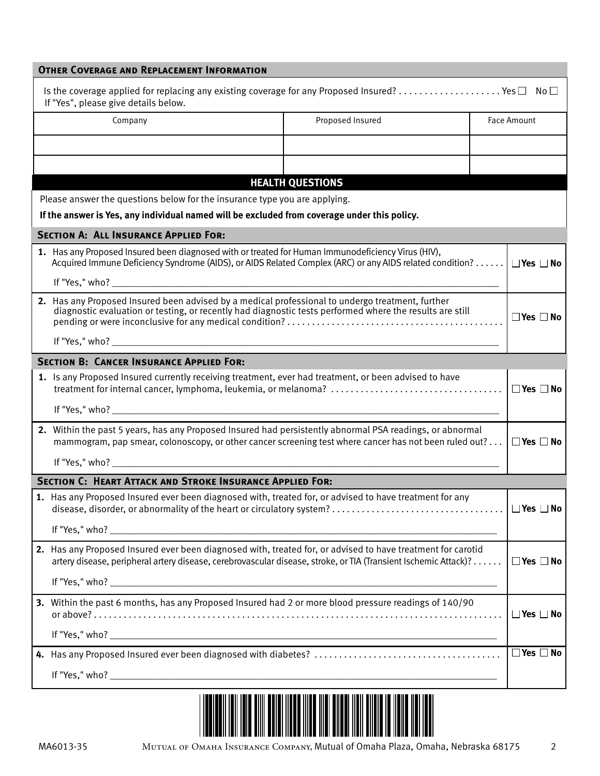| <b>OTHER COVERAGE AND REPLACEMENT INFORMATION</b>                                                                                                                                                                                   |                         |                            |
|-------------------------------------------------------------------------------------------------------------------------------------------------------------------------------------------------------------------------------------|-------------------------|----------------------------|
| If "Yes", please give details below.                                                                                                                                                                                                |                         |                            |
| Company                                                                                                                                                                                                                             | Proposed Insured        | Face Amount                |
|                                                                                                                                                                                                                                     |                         |                            |
|                                                                                                                                                                                                                                     |                         |                            |
|                                                                                                                                                                                                                                     | <b>HEALTH QUESTIONS</b> |                            |
| Please answer the questions below for the insurance type you are applying.                                                                                                                                                          |                         |                            |
| If the answer is Yes, any individual named will be excluded from coverage under this policy.                                                                                                                                        |                         |                            |
| <b>SECTION A: ALL INSURANCE APPLIED FOR:</b>                                                                                                                                                                                        |                         |                            |
| 1. Has any Proposed Insured been diagnosed with or treated for Human Immunodeficiency Virus (HIV),<br>Acquired Immune Deficiency Syndrome (AIDS), or AIDS Related Complex (ARC) or any AIDS related condition? $\Box$ Yes $\Box$ No |                         |                            |
|                                                                                                                                                                                                                                     |                         |                            |
| 2. Has any Proposed Insured been advised by a medical professional to undergo treatment, further<br>diagnostic evaluation or testing, or recently had diagnostic tests performed where the results are still                        |                         | $\square$ Yes $\square$ No |
|                                                                                                                                                                                                                                     |                         |                            |
| <b>SECTION B: CANCER INSURANCE APPLIED FOR:</b>                                                                                                                                                                                     |                         |                            |
| 1. Is any Proposed Insured currently receiving treatment, ever had treatment, or been advised to have                                                                                                                               |                         |                            |
|                                                                                                                                                                                                                                     |                         |                            |
| 2. Within the past 5 years, has any Proposed Insured had persistently abnormal PSA readings, or abnormal<br>mammogram, pap smear, colonoscopy, or other cancer screening test where cancer has not been ruled out?                  |                         | $\Box$ Yes $\Box$ No       |
|                                                                                                                                                                                                                                     |                         |                            |
| <b>SECTION C: HEART ATTACK AND STROKE INSURANCE APPLIED FOR:</b>                                                                                                                                                                    |                         |                            |
| 1. Has any Proposed Insured ever been diagnosed with, treated for, or advised to have treatment for any                                                                                                                             |                         |                            |
|                                                                                                                                                                                                                                     |                         |                            |
| 2. Has any Proposed Insured ever been diagnosed with, treated for, or advised to have treatment for carotid<br>artery disease, peripheral artery disease, cerebrovascular disease, stroke, or TIA (Transient Ischemic Attack)?      |                         | $\Box$ Yes $\Box$ No       |
|                                                                                                                                                                                                                                     |                         |                            |
| 3. Within the past 6 months, has any Proposed Insured had 2 or more blood pressure readings of 140/90                                                                                                                               |                         | $\Box$ Yes $\Box$ No       |
|                                                                                                                                                                                                                                     |                         |                            |
|                                                                                                                                                                                                                                     |                         | $\Box$ Yes $\Box$ No       |
|                                                                                                                                                                                                                                     |                         |                            |
|                                                                                                                                                                                                                                     |                         |                            |

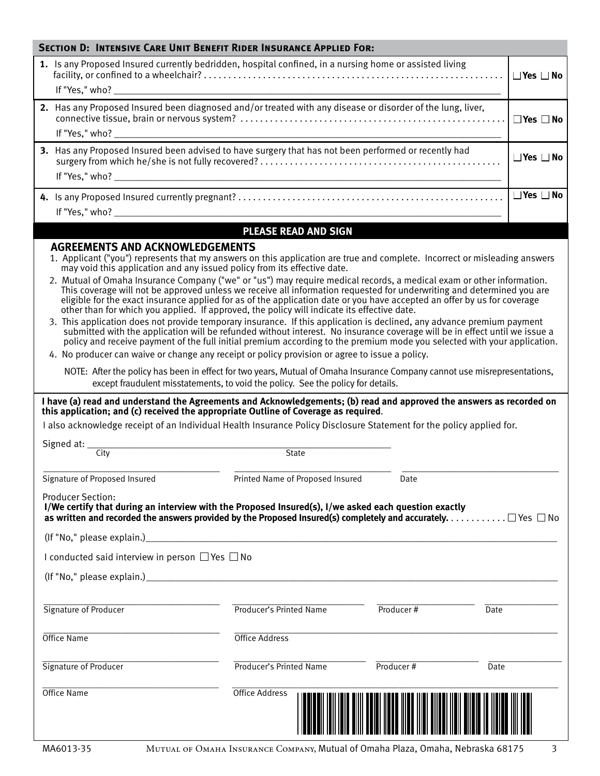| <b>SECTION D: INTENSIVE CARE UNIT BENEFIT RIDER INSURANCE APPLIED FOR:</b><br>1. Is any Proposed Insured currently bedridden, hospital confined, in a nursing home or assisted living<br>$\Box$ Yes $\Box$ No<br>2. Has any Proposed Insured been diagnosed and/or treated with any disease or disorder of the lung, liver,<br>$\Box$ Yes $\Box$ No<br>3. Has any Proposed Insured been advised to have surgery that has not been performed or recently had<br>$\Box$ Yes $\Box$ No<br>$\Box$ Yes $\Box$ No<br><b>PLEASE READ AND SIGN</b><br><b>AGREEMENTS AND ACKNOWLEDGEMENTS</b><br>1. Applicant ("you") represents that my answers on this application are true and complete. Incorrect or misleading answers<br>may void this application and any issued policy from its effective date.<br>2. Mutual of Omaha Insurance Company ("we" or "us") may require medical records, a medical exam or other information.<br>This coverage will not be approved unless we receive all information requested for underwriting and determined you are<br>eligible for the exact insurance applied for as of the application date or you have accepted an offer by us for coverage<br>other than for which you applied. If approved, the policy will indicate its effective date.<br>3. This application does not provide temporary insurance. If this application is declined, any advance premium payment<br>submitted with the application will be refunded without interest. No insurance coverage will be in effect until we issue a<br>policy and receive payment of the full initial premium according to the premium mode you selected with your application.<br>4. No producer can waive or change any receipt or policy provision or agree to issue a policy.<br>NOTE: After the policy has been in effect for two years, Mutual of Omaha Insurance Company cannot use misrepresentations,<br>except fraudulent misstatements, to void the policy. See the policy for details.<br>I have (a) read and understand the Agreements and Acknowledgements; (b) read and approved the answers as recorded on<br>this application; and (c) received the appropriate Outline of Coverage as required.<br>I also acknowledge receipt of an Individual Health Insurance Policy Disclosure Statement for the policy applied for.<br>Signed at: $\overline{\phantom{a}}$<br>City<br><b>State</b><br>Signature of Proposed Insured<br>Printed Name of Proposed Insured<br>Date<br><b>Producer Section:</b><br>I/We certify that during an interview with the Proposed Insured(s), I/we asked each question exactly<br>as written and recorded the answers provided by the Proposed Insured(s) completely and accurately. $\ldots \ldots \ldots \square$ Yes $\square$ No<br>I conducted said interview in person $\Box$ Yes $\Box$ No |
|-------------------------------------------------------------------------------------------------------------------------------------------------------------------------------------------------------------------------------------------------------------------------------------------------------------------------------------------------------------------------------------------------------------------------------------------------------------------------------------------------------------------------------------------------------------------------------------------------------------------------------------------------------------------------------------------------------------------------------------------------------------------------------------------------------------------------------------------------------------------------------------------------------------------------------------------------------------------------------------------------------------------------------------------------------------------------------------------------------------------------------------------------------------------------------------------------------------------------------------------------------------------------------------------------------------------------------------------------------------------------------------------------------------------------------------------------------------------------------------------------------------------------------------------------------------------------------------------------------------------------------------------------------------------------------------------------------------------------------------------------------------------------------------------------------------------------------------------------------------------------------------------------------------------------------------------------------------------------------------------------------------------------------------------------------------------------------------------------------------------------------------------------------------------------------------------------------------------------------------------------------------------------------------------------------------------------------------------------------------------------------------------------------------------------------------------------------------------------------------------------------------------------------------------------------------------------------------------------------------------------------------------------------------------------------------------------------------------------------------------------------------------------------------------------------------------------------|
|                                                                                                                                                                                                                                                                                                                                                                                                                                                                                                                                                                                                                                                                                                                                                                                                                                                                                                                                                                                                                                                                                                                                                                                                                                                                                                                                                                                                                                                                                                                                                                                                                                                                                                                                                                                                                                                                                                                                                                                                                                                                                                                                                                                                                                                                                                                                                                                                                                                                                                                                                                                                                                                                                                                                                                                                                               |
|                                                                                                                                                                                                                                                                                                                                                                                                                                                                                                                                                                                                                                                                                                                                                                                                                                                                                                                                                                                                                                                                                                                                                                                                                                                                                                                                                                                                                                                                                                                                                                                                                                                                                                                                                                                                                                                                                                                                                                                                                                                                                                                                                                                                                                                                                                                                                                                                                                                                                                                                                                                                                                                                                                                                                                                                                               |
|                                                                                                                                                                                                                                                                                                                                                                                                                                                                                                                                                                                                                                                                                                                                                                                                                                                                                                                                                                                                                                                                                                                                                                                                                                                                                                                                                                                                                                                                                                                                                                                                                                                                                                                                                                                                                                                                                                                                                                                                                                                                                                                                                                                                                                                                                                                                                                                                                                                                                                                                                                                                                                                                                                                                                                                                                               |
|                                                                                                                                                                                                                                                                                                                                                                                                                                                                                                                                                                                                                                                                                                                                                                                                                                                                                                                                                                                                                                                                                                                                                                                                                                                                                                                                                                                                                                                                                                                                                                                                                                                                                                                                                                                                                                                                                                                                                                                                                                                                                                                                                                                                                                                                                                                                                                                                                                                                                                                                                                                                                                                                                                                                                                                                                               |
|                                                                                                                                                                                                                                                                                                                                                                                                                                                                                                                                                                                                                                                                                                                                                                                                                                                                                                                                                                                                                                                                                                                                                                                                                                                                                                                                                                                                                                                                                                                                                                                                                                                                                                                                                                                                                                                                                                                                                                                                                                                                                                                                                                                                                                                                                                                                                                                                                                                                                                                                                                                                                                                                                                                                                                                                                               |
|                                                                                                                                                                                                                                                                                                                                                                                                                                                                                                                                                                                                                                                                                                                                                                                                                                                                                                                                                                                                                                                                                                                                                                                                                                                                                                                                                                                                                                                                                                                                                                                                                                                                                                                                                                                                                                                                                                                                                                                                                                                                                                                                                                                                                                                                                                                                                                                                                                                                                                                                                                                                                                                                                                                                                                                                                               |
|                                                                                                                                                                                                                                                                                                                                                                                                                                                                                                                                                                                                                                                                                                                                                                                                                                                                                                                                                                                                                                                                                                                                                                                                                                                                                                                                                                                                                                                                                                                                                                                                                                                                                                                                                                                                                                                                                                                                                                                                                                                                                                                                                                                                                                                                                                                                                                                                                                                                                                                                                                                                                                                                                                                                                                                                                               |
|                                                                                                                                                                                                                                                                                                                                                                                                                                                                                                                                                                                                                                                                                                                                                                                                                                                                                                                                                                                                                                                                                                                                                                                                                                                                                                                                                                                                                                                                                                                                                                                                                                                                                                                                                                                                                                                                                                                                                                                                                                                                                                                                                                                                                                                                                                                                                                                                                                                                                                                                                                                                                                                                                                                                                                                                                               |
|                                                                                                                                                                                                                                                                                                                                                                                                                                                                                                                                                                                                                                                                                                                                                                                                                                                                                                                                                                                                                                                                                                                                                                                                                                                                                                                                                                                                                                                                                                                                                                                                                                                                                                                                                                                                                                                                                                                                                                                                                                                                                                                                                                                                                                                                                                                                                                                                                                                                                                                                                                                                                                                                                                                                                                                                                               |
|                                                                                                                                                                                                                                                                                                                                                                                                                                                                                                                                                                                                                                                                                                                                                                                                                                                                                                                                                                                                                                                                                                                                                                                                                                                                                                                                                                                                                                                                                                                                                                                                                                                                                                                                                                                                                                                                                                                                                                                                                                                                                                                                                                                                                                                                                                                                                                                                                                                                                                                                                                                                                                                                                                                                                                                                                               |
|                                                                                                                                                                                                                                                                                                                                                                                                                                                                                                                                                                                                                                                                                                                                                                                                                                                                                                                                                                                                                                                                                                                                                                                                                                                                                                                                                                                                                                                                                                                                                                                                                                                                                                                                                                                                                                                                                                                                                                                                                                                                                                                                                                                                                                                                                                                                                                                                                                                                                                                                                                                                                                                                                                                                                                                                                               |
|                                                                                                                                                                                                                                                                                                                                                                                                                                                                                                                                                                                                                                                                                                                                                                                                                                                                                                                                                                                                                                                                                                                                                                                                                                                                                                                                                                                                                                                                                                                                                                                                                                                                                                                                                                                                                                                                                                                                                                                                                                                                                                                                                                                                                                                                                                                                                                                                                                                                                                                                                                                                                                                                                                                                                                                                                               |
|                                                                                                                                                                                                                                                                                                                                                                                                                                                                                                                                                                                                                                                                                                                                                                                                                                                                                                                                                                                                                                                                                                                                                                                                                                                                                                                                                                                                                                                                                                                                                                                                                                                                                                                                                                                                                                                                                                                                                                                                                                                                                                                                                                                                                                                                                                                                                                                                                                                                                                                                                                                                                                                                                                                                                                                                                               |
|                                                                                                                                                                                                                                                                                                                                                                                                                                                                                                                                                                                                                                                                                                                                                                                                                                                                                                                                                                                                                                                                                                                                                                                                                                                                                                                                                                                                                                                                                                                                                                                                                                                                                                                                                                                                                                                                                                                                                                                                                                                                                                                                                                                                                                                                                                                                                                                                                                                                                                                                                                                                                                                                                                                                                                                                                               |
|                                                                                                                                                                                                                                                                                                                                                                                                                                                                                                                                                                                                                                                                                                                                                                                                                                                                                                                                                                                                                                                                                                                                                                                                                                                                                                                                                                                                                                                                                                                                                                                                                                                                                                                                                                                                                                                                                                                                                                                                                                                                                                                                                                                                                                                                                                                                                                                                                                                                                                                                                                                                                                                                                                                                                                                                                               |
|                                                                                                                                                                                                                                                                                                                                                                                                                                                                                                                                                                                                                                                                                                                                                                                                                                                                                                                                                                                                                                                                                                                                                                                                                                                                                                                                                                                                                                                                                                                                                                                                                                                                                                                                                                                                                                                                                                                                                                                                                                                                                                                                                                                                                                                                                                                                                                                                                                                                                                                                                                                                                                                                                                                                                                                                                               |
|                                                                                                                                                                                                                                                                                                                                                                                                                                                                                                                                                                                                                                                                                                                                                                                                                                                                                                                                                                                                                                                                                                                                                                                                                                                                                                                                                                                                                                                                                                                                                                                                                                                                                                                                                                                                                                                                                                                                                                                                                                                                                                                                                                                                                                                                                                                                                                                                                                                                                                                                                                                                                                                                                                                                                                                                                               |
|                                                                                                                                                                                                                                                                                                                                                                                                                                                                                                                                                                                                                                                                                                                                                                                                                                                                                                                                                                                                                                                                                                                                                                                                                                                                                                                                                                                                                                                                                                                                                                                                                                                                                                                                                                                                                                                                                                                                                                                                                                                                                                                                                                                                                                                                                                                                                                                                                                                                                                                                                                                                                                                                                                                                                                                                                               |
|                                                                                                                                                                                                                                                                                                                                                                                                                                                                                                                                                                                                                                                                                                                                                                                                                                                                                                                                                                                                                                                                                                                                                                                                                                                                                                                                                                                                                                                                                                                                                                                                                                                                                                                                                                                                                                                                                                                                                                                                                                                                                                                                                                                                                                                                                                                                                                                                                                                                                                                                                                                                                                                                                                                                                                                                                               |
|                                                                                                                                                                                                                                                                                                                                                                                                                                                                                                                                                                                                                                                                                                                                                                                                                                                                                                                                                                                                                                                                                                                                                                                                                                                                                                                                                                                                                                                                                                                                                                                                                                                                                                                                                                                                                                                                                                                                                                                                                                                                                                                                                                                                                                                                                                                                                                                                                                                                                                                                                                                                                                                                                                                                                                                                                               |
|                                                                                                                                                                                                                                                                                                                                                                                                                                                                                                                                                                                                                                                                                                                                                                                                                                                                                                                                                                                                                                                                                                                                                                                                                                                                                                                                                                                                                                                                                                                                                                                                                                                                                                                                                                                                                                                                                                                                                                                                                                                                                                                                                                                                                                                                                                                                                                                                                                                                                                                                                                                                                                                                                                                                                                                                                               |
|                                                                                                                                                                                                                                                                                                                                                                                                                                                                                                                                                                                                                                                                                                                                                                                                                                                                                                                                                                                                                                                                                                                                                                                                                                                                                                                                                                                                                                                                                                                                                                                                                                                                                                                                                                                                                                                                                                                                                                                                                                                                                                                                                                                                                                                                                                                                                                                                                                                                                                                                                                                                                                                                                                                                                                                                                               |
|                                                                                                                                                                                                                                                                                                                                                                                                                                                                                                                                                                                                                                                                                                                                                                                                                                                                                                                                                                                                                                                                                                                                                                                                                                                                                                                                                                                                                                                                                                                                                                                                                                                                                                                                                                                                                                                                                                                                                                                                                                                                                                                                                                                                                                                                                                                                                                                                                                                                                                                                                                                                                                                                                                                                                                                                                               |
|                                                                                                                                                                                                                                                                                                                                                                                                                                                                                                                                                                                                                                                                                                                                                                                                                                                                                                                                                                                                                                                                                                                                                                                                                                                                                                                                                                                                                                                                                                                                                                                                                                                                                                                                                                                                                                                                                                                                                                                                                                                                                                                                                                                                                                                                                                                                                                                                                                                                                                                                                                                                                                                                                                                                                                                                                               |
|                                                                                                                                                                                                                                                                                                                                                                                                                                                                                                                                                                                                                                                                                                                                                                                                                                                                                                                                                                                                                                                                                                                                                                                                                                                                                                                                                                                                                                                                                                                                                                                                                                                                                                                                                                                                                                                                                                                                                                                                                                                                                                                                                                                                                                                                                                                                                                                                                                                                                                                                                                                                                                                                                                                                                                                                                               |
|                                                                                                                                                                                                                                                                                                                                                                                                                                                                                                                                                                                                                                                                                                                                                                                                                                                                                                                                                                                                                                                                                                                                                                                                                                                                                                                                                                                                                                                                                                                                                                                                                                                                                                                                                                                                                                                                                                                                                                                                                                                                                                                                                                                                                                                                                                                                                                                                                                                                                                                                                                                                                                                                                                                                                                                                                               |
|                                                                                                                                                                                                                                                                                                                                                                                                                                                                                                                                                                                                                                                                                                                                                                                                                                                                                                                                                                                                                                                                                                                                                                                                                                                                                                                                                                                                                                                                                                                                                                                                                                                                                                                                                                                                                                                                                                                                                                                                                                                                                                                                                                                                                                                                                                                                                                                                                                                                                                                                                                                                                                                                                                                                                                                                                               |
|                                                                                                                                                                                                                                                                                                                                                                                                                                                                                                                                                                                                                                                                                                                                                                                                                                                                                                                                                                                                                                                                                                                                                                                                                                                                                                                                                                                                                                                                                                                                                                                                                                                                                                                                                                                                                                                                                                                                                                                                                                                                                                                                                                                                                                                                                                                                                                                                                                                                                                                                                                                                                                                                                                                                                                                                                               |
|                                                                                                                                                                                                                                                                                                                                                                                                                                                                                                                                                                                                                                                                                                                                                                                                                                                                                                                                                                                                                                                                                                                                                                                                                                                                                                                                                                                                                                                                                                                                                                                                                                                                                                                                                                                                                                                                                                                                                                                                                                                                                                                                                                                                                                                                                                                                                                                                                                                                                                                                                                                                                                                                                                                                                                                                                               |
|                                                                                                                                                                                                                                                                                                                                                                                                                                                                                                                                                                                                                                                                                                                                                                                                                                                                                                                                                                                                                                                                                                                                                                                                                                                                                                                                                                                                                                                                                                                                                                                                                                                                                                                                                                                                                                                                                                                                                                                                                                                                                                                                                                                                                                                                                                                                                                                                                                                                                                                                                                                                                                                                                                                                                                                                                               |
|                                                                                                                                                                                                                                                                                                                                                                                                                                                                                                                                                                                                                                                                                                                                                                                                                                                                                                                                                                                                                                                                                                                                                                                                                                                                                                                                                                                                                                                                                                                                                                                                                                                                                                                                                                                                                                                                                                                                                                                                                                                                                                                                                                                                                                                                                                                                                                                                                                                                                                                                                                                                                                                                                                                                                                                                                               |
|                                                                                                                                                                                                                                                                                                                                                                                                                                                                                                                                                                                                                                                                                                                                                                                                                                                                                                                                                                                                                                                                                                                                                                                                                                                                                                                                                                                                                                                                                                                                                                                                                                                                                                                                                                                                                                                                                                                                                                                                                                                                                                                                                                                                                                                                                                                                                                                                                                                                                                                                                                                                                                                                                                                                                                                                                               |
|                                                                                                                                                                                                                                                                                                                                                                                                                                                                                                                                                                                                                                                                                                                                                                                                                                                                                                                                                                                                                                                                                                                                                                                                                                                                                                                                                                                                                                                                                                                                                                                                                                                                                                                                                                                                                                                                                                                                                                                                                                                                                                                                                                                                                                                                                                                                                                                                                                                                                                                                                                                                                                                                                                                                                                                                                               |
|                                                                                                                                                                                                                                                                                                                                                                                                                                                                                                                                                                                                                                                                                                                                                                                                                                                                                                                                                                                                                                                                                                                                                                                                                                                                                                                                                                                                                                                                                                                                                                                                                                                                                                                                                                                                                                                                                                                                                                                                                                                                                                                                                                                                                                                                                                                                                                                                                                                                                                                                                                                                                                                                                                                                                                                                                               |
|                                                                                                                                                                                                                                                                                                                                                                                                                                                                                                                                                                                                                                                                                                                                                                                                                                                                                                                                                                                                                                                                                                                                                                                                                                                                                                                                                                                                                                                                                                                                                                                                                                                                                                                                                                                                                                                                                                                                                                                                                                                                                                                                                                                                                                                                                                                                                                                                                                                                                                                                                                                                                                                                                                                                                                                                                               |
| Signature of Producer<br>Producer#<br>Producer's Printed Name<br>Date                                                                                                                                                                                                                                                                                                                                                                                                                                                                                                                                                                                                                                                                                                                                                                                                                                                                                                                                                                                                                                                                                                                                                                                                                                                                                                                                                                                                                                                                                                                                                                                                                                                                                                                                                                                                                                                                                                                                                                                                                                                                                                                                                                                                                                                                                                                                                                                                                                                                                                                                                                                                                                                                                                                                                         |
|                                                                                                                                                                                                                                                                                                                                                                                                                                                                                                                                                                                                                                                                                                                                                                                                                                                                                                                                                                                                                                                                                                                                                                                                                                                                                                                                                                                                                                                                                                                                                                                                                                                                                                                                                                                                                                                                                                                                                                                                                                                                                                                                                                                                                                                                                                                                                                                                                                                                                                                                                                                                                                                                                                                                                                                                                               |
| Office Name<br>Office Address                                                                                                                                                                                                                                                                                                                                                                                                                                                                                                                                                                                                                                                                                                                                                                                                                                                                                                                                                                                                                                                                                                                                                                                                                                                                                                                                                                                                                                                                                                                                                                                                                                                                                                                                                                                                                                                                                                                                                                                                                                                                                                                                                                                                                                                                                                                                                                                                                                                                                                                                                                                                                                                                                                                                                                                                 |
|                                                                                                                                                                                                                                                                                                                                                                                                                                                                                                                                                                                                                                                                                                                                                                                                                                                                                                                                                                                                                                                                                                                                                                                                                                                                                                                                                                                                                                                                                                                                                                                                                                                                                                                                                                                                                                                                                                                                                                                                                                                                                                                                                                                                                                                                                                                                                                                                                                                                                                                                                                                                                                                                                                                                                                                                                               |
| Signature of Producer<br><b>Producer's Printed Name</b><br>Producer#<br><b>Date</b>                                                                                                                                                                                                                                                                                                                                                                                                                                                                                                                                                                                                                                                                                                                                                                                                                                                                                                                                                                                                                                                                                                                                                                                                                                                                                                                                                                                                                                                                                                                                                                                                                                                                                                                                                                                                                                                                                                                                                                                                                                                                                                                                                                                                                                                                                                                                                                                                                                                                                                                                                                                                                                                                                                                                           |
|                                                                                                                                                                                                                                                                                                                                                                                                                                                                                                                                                                                                                                                                                                                                                                                                                                                                                                                                                                                                                                                                                                                                                                                                                                                                                                                                                                                                                                                                                                                                                                                                                                                                                                                                                                                                                                                                                                                                                                                                                                                                                                                                                                                                                                                                                                                                                                                                                                                                                                                                                                                                                                                                                                                                                                                                                               |
| Office Name<br><b>Office Address</b>                                                                                                                                                                                                                                                                                                                                                                                                                                                                                                                                                                                                                                                                                                                                                                                                                                                                                                                                                                                                                                                                                                                                                                                                                                                                                                                                                                                                                                                                                                                                                                                                                                                                                                                                                                                                                                                                                                                                                                                                                                                                                                                                                                                                                                                                                                                                                                                                                                                                                                                                                                                                                                                                                                                                                                                          |
|                                                                                                                                                                                                                                                                                                                                                                                                                                                                                                                                                                                                                                                                                                                                                                                                                                                                                                                                                                                                                                                                                                                                                                                                                                                                                                                                                                                                                                                                                                                                                                                                                                                                                                                                                                                                                                                                                                                                                                                                                                                                                                                                                                                                                                                                                                                                                                                                                                                                                                                                                                                                                                                                                                                                                                                                                               |
|                                                                                                                                                                                                                                                                                                                                                                                                                                                                                                                                                                                                                                                                                                                                                                                                                                                                                                                                                                                                                                                                                                                                                                                                                                                                                                                                                                                                                                                                                                                                                                                                                                                                                                                                                                                                                                                                                                                                                                                                                                                                                                                                                                                                                                                                                                                                                                                                                                                                                                                                                                                                                                                                                                                                                                                                                               |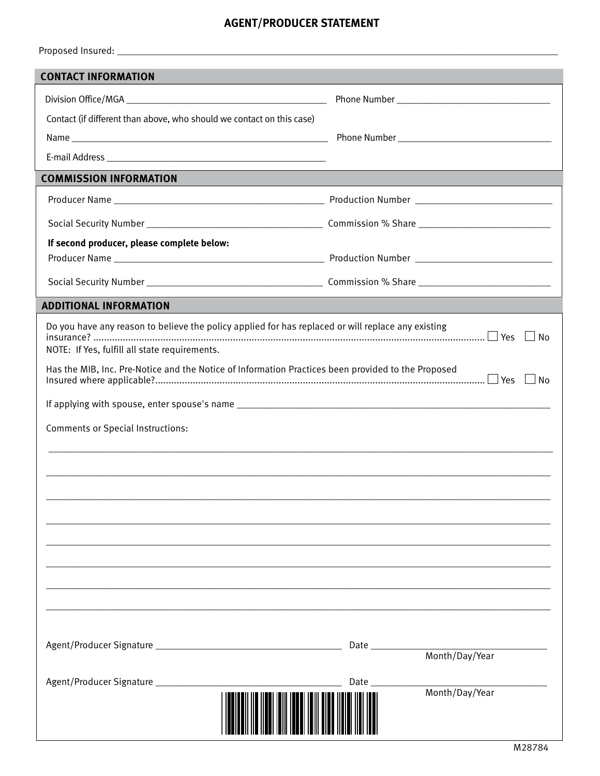### **AGENT/PRODUCER STATEMENT**

| <b>CONTACT INFORMATION</b>                                                                         |                               |
|----------------------------------------------------------------------------------------------------|-------------------------------|
|                                                                                                    |                               |
| Contact (if different than above, who should we contact on this case)                              |                               |
|                                                                                                    |                               |
|                                                                                                    |                               |
| <b>COMMISSION INFORMATION</b>                                                                      |                               |
|                                                                                                    |                               |
|                                                                                                    |                               |
| If second producer, please complete below:                                                         |                               |
|                                                                                                    |                               |
|                                                                                                    |                               |
| <b>ADDITIONAL INFORMATION</b>                                                                      |                               |
| Do you have any reason to believe the policy applied for has replaced or will replace any existing |                               |
| NOTE: If Yes, fulfill all state requirements.                                                      | $\Box$ No                     |
| Has the MIB, Inc. Pre-Notice and the Notice of Information Practices been provided to the Proposed |                               |
|                                                                                                    |                               |
|                                                                                                    |                               |
| <b>Comments or Special Instructions:</b>                                                           |                               |
|                                                                                                    |                               |
|                                                                                                    |                               |
|                                                                                                    |                               |
|                                                                                                    |                               |
|                                                                                                    |                               |
|                                                                                                    |                               |
|                                                                                                    |                               |
|                                                                                                    |                               |
|                                                                                                    |                               |
|                                                                                                    | Month/Day/Year                |
|                                                                                                    |                               |
|                                                                                                    | <b>Date</b><br>Month/Day/Year |
|                                                                                                    |                               |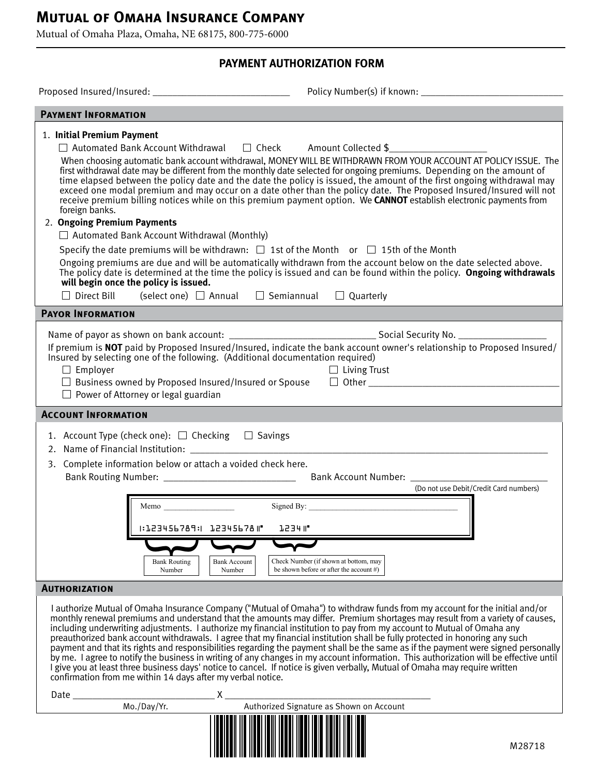### **Mutual of Omaha Insurance Company**

Mutual of Omaha Plaza, Omaha, NE 68175, 800-775-6000

### **PAYMENT AUTHORIZATION FORM**

| <b>PAYMENT INFORMATION</b>                                                                                                                                                                                                                                                                                                                                                                                                                                                                                                                                                                                                                                                                                                    |                                                                                                                                                                                                                                                                                                                                                                                                                                                                                                                                                                                                                 |
|-------------------------------------------------------------------------------------------------------------------------------------------------------------------------------------------------------------------------------------------------------------------------------------------------------------------------------------------------------------------------------------------------------------------------------------------------------------------------------------------------------------------------------------------------------------------------------------------------------------------------------------------------------------------------------------------------------------------------------|-----------------------------------------------------------------------------------------------------------------------------------------------------------------------------------------------------------------------------------------------------------------------------------------------------------------------------------------------------------------------------------------------------------------------------------------------------------------------------------------------------------------------------------------------------------------------------------------------------------------|
| 1. Initial Premium Payment<br>□ Automated Bank Account Withdrawal □ Check Amount Collected \$<br>first withdrawal date may be different from the monthly date selected for ongoing premiums. Depending on the amount of<br>foreign banks.<br>2. Ongoing Premium Payments<br>$\Box$ Automated Bank Account Withdrawal (Monthly)<br>Specify the date premiums will be withdrawn: $\Box$ 1st of the Month or $\Box$ 15th of the Month<br>Ongoing premiums are due and will be automatically withdrawn from the account below on the date selected above.<br>will begin once the policy is issued.<br>$\Box$ Direct Bill (select one) $\Box$ Annual $\Box$ Semiannual $\Box$ Quarterly                                            | When choosing automatic bank account withdrawal, MONEY WILL BE WITHDRAWN FROM YOUR ACCOUNT AT POLICY ISSUE. The<br>time elapsed between the policy date and the date the policy is issued, the amount of the first ongoing withdrawal may<br>exceed one modal premium and may occur on a date other than the policy date. The Proposed Insured/Insured will not<br>receive premium billing notices while on this premium payment option. We CANNOT establish electronic payments from<br>The policy date is determined at the time the policy is issued and can be found within the policy. Ongoing withdrawals |
| <b>PAYOR INFORMATION</b>                                                                                                                                                                                                                                                                                                                                                                                                                                                                                                                                                                                                                                                                                                      |                                                                                                                                                                                                                                                                                                                                                                                                                                                                                                                                                                                                                 |
| If premium is NOT paid by Proposed Insured/Insured, indicate the bank account owner's relationship to Proposed Insured/<br>Insured by selecting one of the following. (Additional documentation required)<br>$\Box$ Employer<br>$\Box$ Business owned by Proposed Insured/Insured or Spouse $\Box$ Other $\Box$<br>$\Box$ Power of Attorney or legal guardian                                                                                                                                                                                                                                                                                                                                                                 | $\Box$ Living Trust                                                                                                                                                                                                                                                                                                                                                                                                                                                                                                                                                                                             |
| <b>ACCOUNT INFORMATION</b>                                                                                                                                                                                                                                                                                                                                                                                                                                                                                                                                                                                                                                                                                                    |                                                                                                                                                                                                                                                                                                                                                                                                                                                                                                                                                                                                                 |
| 1. Account Type (check one): □ Checking □ Savings<br>3. Complete information below or attach a voided check here.<br>Memo<br>1:123456789:1 12345678 1"<br>1234 II <sup>.</sup><br><b>Bank Routing</b><br><b>Bank Account</b><br>Number<br>Number                                                                                                                                                                                                                                                                                                                                                                                                                                                                              | (Do not use Debit/Credit Card numbers)<br>Check Number (if shown at bottom, may<br>be shown before or after the account $#$ )                                                                                                                                                                                                                                                                                                                                                                                                                                                                                   |
| <b>AUTHORIZATION</b>                                                                                                                                                                                                                                                                                                                                                                                                                                                                                                                                                                                                                                                                                                          |                                                                                                                                                                                                                                                                                                                                                                                                                                                                                                                                                                                                                 |
| I authorize Mutual of Omaha Insurance Company ("Mutual of Omaha") to withdraw funds from my account for the initial and/or<br>monthly renewal premiums and understand that the amounts may differ. Premium shortages may result from a variety of causes,<br>including underwriting adjustments. I authorize my financial institution to pay from my account to Mutual of Omaha any<br>preauthorized bank account withdrawals. I agree that my financial institution shall be fully protected in honoring any such<br>I give you at least three business days' notice to cancel. If notice is given verbally, Mutual of Omaha may require written<br>confirmation from me within 14 days after my verbal notice.<br>Χ<br>Date | payment and that its rights and responsibilities regarding the payment shall be the same as if the payment were signed personally<br>by me. I agree to notify the business in writing of any changes in my account information. This authorization will be effective until                                                                                                                                                                                                                                                                                                                                      |
| Mo./Day/Yr.                                                                                                                                                                                                                                                                                                                                                                                                                                                                                                                                                                                                                                                                                                                   | Authorized Signature as Shown on Account                                                                                                                                                                                                                                                                                                                                                                                                                                                                                                                                                                        |
|                                                                                                                                                                                                                                                                                                                                                                                                                                                                                                                                                                                                                                                                                                                               | M28718                                                                                                                                                                                                                                                                                                                                                                                                                                                                                                                                                                                                          |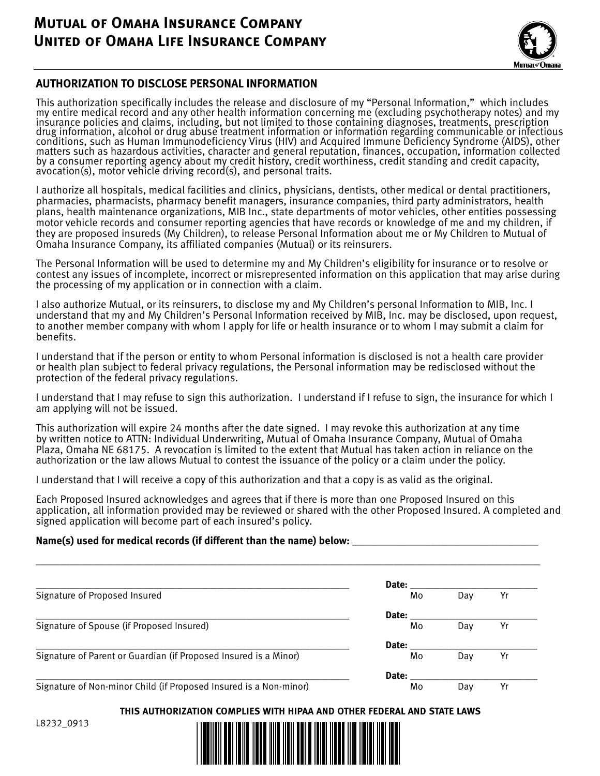## **Mutual of Omaha Insurance Company United of Omaha Life Insurance Company**



#### **AUTHORIZATION TO DISCLOSE PERSONAL INFORMATION**

This authorization specifically includes the release and disclosure of my "Personal Information," which includes my entire medical record and any other health information concerning me (excluding psychotherapy notes) and my insurance policies and claims, including, but not limited to those containing diagnoses, treatments, prescription drug information, alcohol or drug abuse treatment information or information regarding communicable or infectious conditions, such as Human Immunodeficiency Virus (HIV) and Acquired Immune Deficiency Syndrome (AIDS), other matters such as hazardous activities, character and general reputation, finances, occupation, information collected by a consumer reporting agency about my credit history, credit worthiness, credit standing and credit capacity, avocation(s), motor vehicle driving record(s), and personal traits.

I authorize all hospitals, medical facilities and clinics, physicians, dentists, other medical or dental practitioners, pharmacies, pharmacists, pharmacy benefit managers, insurance companies, third party administrators, health plans, health maintenance organizations, MIB Inc., state departments of motor vehicles, other entities possessing motor vehicle records and consumer reporting agencies that have records or knowledge of me and my children, if they are proposed insureds (My Children), to release Personal Information about me or My Children to Mutual of Omaha Insurance Company, its affiliated companies (Mutual) or its reinsurers.

The Personal Information will be used to determine my and My Children's eligibility for insurance or to resolve or contest any issues of incomplete, incorrect or misrepresented information on this application that may arise during the processing of my application or in connection with a claim.

I also authorize Mutual, or its reinsurers, to disclose my and My Children's personal Information to MIB, Inc. I understand that my and My Children's Personal Information received by MIB, Inc. may be disclosed, upon request, to another member company with whom I apply for life or health insurance or to whom I may submit a claim for benefits.

I understand that if the person or entity to whom Personal information is disclosed is not a health care provider or health plan subject to federal privacy regulations, the Personal information may be redisclosed without the protection of the federal privacy regulations.

I understand that I may refuse to sign this authorization. I understand if I refuse to sign, the insurance for which I am applying will not be issued.

This authorization will expire 24 months after the date signed. I may revoke this authorization at any time by written notice to ATTN: Individual Underwriting, Mutual of Omaha Insurance Company, Mutual of Omaha Plaza, Omaha NE 68175. A revocation is limited to the extent that Mutual has taken action in reliance on the authorization or the law allows Mutual to contest the issuance of the policy or a claim under the policy.

I understand that I will receive a copy of this authorization and that a copy is as valid as the original.

Each Proposed Insured acknowledges and agrees that if there is more than one Proposed Insured on this application, all information provided may be reviewed or shared with the other Proposed Insured. A completed and signed application will become part of each insured's policy.

#### Name(s) used for medical records (if different than the name) below:

|                                                                   | Date: |     |    |
|-------------------------------------------------------------------|-------|-----|----|
| Signature of Proposed Insured                                     | Mo    | Day | Yr |
|                                                                   | Date: |     |    |
| Signature of Spouse (if Proposed Insured)                         | Mo    | Dav | Yr |
|                                                                   | Date: |     |    |
| Signature of Parent or Guardian (if Proposed Insured is a Minor)  | Mo    | Day | Yr |
|                                                                   | Date: |     |    |
| Signature of Non-minor Child (if Proposed Insured is a Non-minor) | Mo    | Dav | Yr |

**\_\_\_\_\_\_\_\_\_\_\_\_\_\_\_\_\_\_\_\_\_\_\_\_\_\_\_\_\_\_\_\_\_\_\_\_\_\_\_\_\_\_\_\_\_\_\_\_\_\_\_\_\_\_\_\_\_\_\_\_\_\_\_\_\_\_\_\_\_\_\_\_\_\_\_\_\_\_\_\_\_\_\_\_\_\_\_\_\_\_\_\_\_\_\_\_\_\_\_\_\_\_\_**

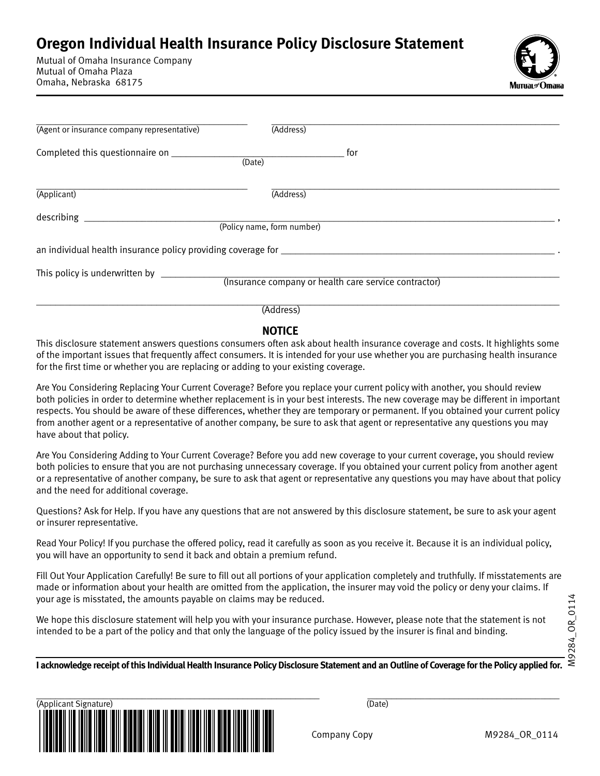# **Oregon Individual Health Insurance Policy Disclosure Statement**

Mutual of Omaha Insurance Company Mutual of Omaha Plaza Omaha, Nebraska 68175



| (Agent or insurance company representative)                  | (Address)                                             |
|--------------------------------------------------------------|-------------------------------------------------------|
| Completed this questionnaire on ______________               | for<br>(Date)                                         |
| (Applicant)                                                  | (Address)                                             |
| describing                                                   | (Policy name, form number)                            |
| an individual health insurance policy providing coverage for |                                                       |
|                                                              | (Insurance company or health care service contractor) |
|                                                              | (Address)                                             |

#### **NOTICE**

This disclosure statement answers questions consumers often ask about health insurance coverage and costs. It highlights some of the important issues that frequently affect consumers. It is intended for your use whether you are purchasing health insurance for the first time or whether you are replacing or adding to your existing coverage.

Are You Considering Replacing Your Current Coverage? Before you replace your current policy with another, you should review both policies in order to determine whether replacement is in your best interests. The new coverage may be different in important respects. You should be aware of these differences, whether they are temporary or permanent. If you obtained your current policy from another agent or a representative of another company, be sure to ask that agent or representative any questions you may have about that policy.

Are You Considering Adding to Your Current Coverage? Before you add new coverage to your current coverage, you should review both policies to ensure that you are not purchasing unnecessary coverage. If you obtained your current policy from another agent or a representative of another company, be sure to ask that agent or representative any questions you may have about that policy and the need for additional coverage.

Questions? Ask for Help. If you have any questions that are not answered by this disclosure statement, be sure to ask your agent or insurer representative.

Read Your Policy! If you purchase the offered policy, read it carefully as soon as you receive it. Because it is an individual policy, you will have an opportunity to send it back and obtain a premium refund.

Fill Out Your Application Carefully! Be sure to fill out all portions of your application completely and truthfully. If misstatements are made or information about your health are omitted from the application, the insurer may void the policy or deny your claims. If your age is misstated, the amounts payable on claims may be reduced.

We hope this disclosure statement will help you with your insurance purchase. However, please note that the statement is not intended to be a part of the policy and that only the language of the policy issued by the insurer is final and binding.

**I acknowledge receipt of this Individual Health Insurance Policy Disclosure Statement and an Outline of Coverage for the Policy applied for.**

\_\_\_\_\_\_\_\_\_\_\_\_\_\_\_\_\_\_\_\_\_\_\_\_\_\_\_\_\_\_\_\_\_\_\_\_\_\_\_\_\_\_\_\_\_\_\_\_\_\_\_\_\_\_\_\_\_\_\_ \_\_\_\_\_\_\_\_\_\_\_\_\_\_\_\_\_\_\_\_\_\_\_\_\_\_\_\_\_\_\_\_\_\_\_\_\_\_\_\_ (Applicant Signature) (Date)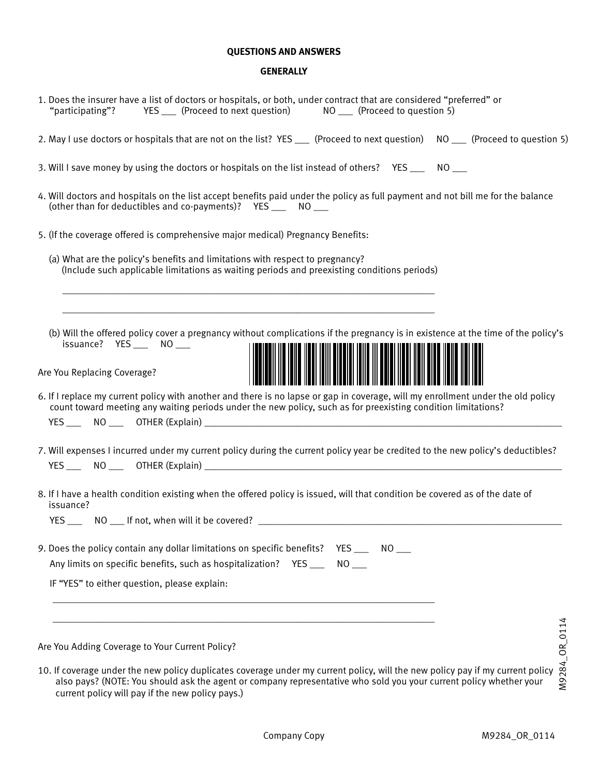#### **QUESTIONS AND ANSWERS**

#### **GENERALLY**

| 1. Does the insurer have a list of doctors or hospitals, or both, under contract that are considered "preferred" or<br>YES ____ (Proceed to next question) MO ____ (Proceed to question 5)<br>"participating"?                                                        |
|-----------------------------------------------------------------------------------------------------------------------------------------------------------------------------------------------------------------------------------------------------------------------|
| 2. May I use doctors or hospitals that are not on the list? YES ___ (Proceed to next question) NO __ (Proceed to question 5)                                                                                                                                          |
| 3. Will I save money by using the doctors or hospitals on the list instead of others? YES ____ NO ___                                                                                                                                                                 |
| 4. Will doctors and hospitals on the list accept benefits paid under the policy as full payment and not bill me for the balance<br>(other than for deductibles and co-payments)? YES ____ NO ___                                                                      |
| 5. (If the coverage offered is comprehensive major medical) Pregnancy Benefits:                                                                                                                                                                                       |
| (a) What are the policy's benefits and limitations with respect to pregnancy?<br>(Include such applicable limitations as waiting periods and preexisting conditions periods)                                                                                          |
| (b) Will the offered policy cover a pregnancy without complications if the pregnancy is in existence at the time of the policy's<br>issuance? YES ___ NO ___<br>Are You Replacing Coverage?                                                                           |
| 6. If I replace my current policy with another and there is no lapse or gap in coverage, will my enrollment under the old policy<br>count toward meeting any waiting periods under the new policy, such as for preexisting condition limitations?                     |
| 7. Will expenses I incurred under my current policy during the current policy year be credited to the new policy's deductibles?                                                                                                                                       |
| 8. If I have a health condition existing when the offered policy is issued, will that condition be covered as of the date of<br>issuance?<br>YES _______ NO ____ If not, when will it be covered? ___________________________                                         |
| 9. Does the policy contain any dollar limitations on specific benefits?<br>YES NO<br>Any limits on specific benefits, such as hospitalization? YES ___<br>$NO$ <sub>---</sub>                                                                                         |
| IF "YES" to either question, please explain:                                                                                                                                                                                                                          |
| Are You Adding Coverage to Your Current Policy?                                                                                                                                                                                                                       |
| M9284_OR_0114<br>10. If coverage under the new policy duplicates coverage under my current policy, will the new policy pay if my current policy<br>also pays? (NOTE: You should ask the agent or company representative who sold you your current policy whether your |

current policy will pay if the new policy pays.)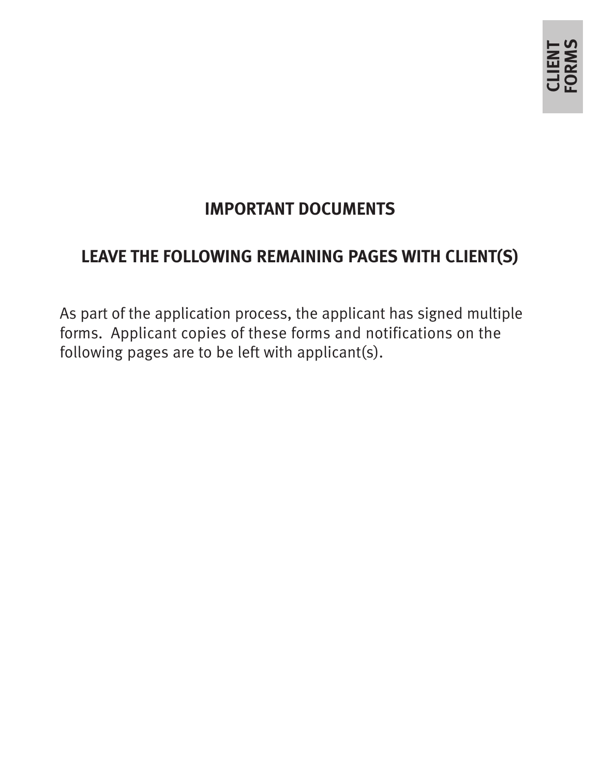# **IMPORTANT DOCUMENTS**

# **LEAVE THE FOLLOWING REMAINING PAGES WITH CLIENT(S)**

As part of the application process, the applicant has signed multiple forms. Applicant copies of these forms and notifications on the following pages are to be left with applicant(s).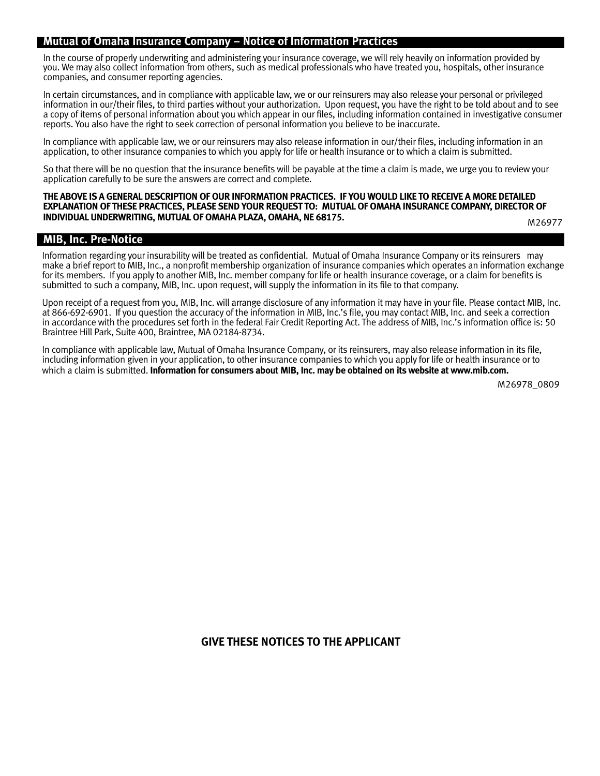#### **Mutual of Omaha Insurance Company – Notice of Information Practices**

In the course of properly underwriting and administering your insurance coverage, we will rely heavily on information provided by you. We may also collect information from others, such as medical professionals who have treated you, hospitals, other insurance companies, and consumer reporting agencies.

In certain circumstances, and in compliance with applicable law, we or our reinsurers may also release your personal or privileged information in our/their files, to third parties without your authorization. Upon request, you have the right to be told about and to see a copy of items of personal information about you which appear in our files, including information contained in investigative consumer reports. You also have the right to seek correction of personal information you believe to be inaccurate.

In compliance with applicable law, we or our reinsurers may also release information in our/their files, including information in an application, to other insurance companies to which you apply for life or health insurance or to which a claim is submitted.

So that there will be no question that the insurance benefits will be payable at the time a claim is made, we urge you to review your application carefully to be sure the answers are correct and complete.

#### **THE ABOVE IS A GENERAL DESCRIPTION OF OUR INFORMATION PRACTICES. IF YOU WOULD LIKE TO RECEIVE A MORE DETAILED EXPLANATION OF THESE PRACTICES, PLEASE SEND YOUR REQUEST TO: MUTUAL OF OMAHA INSURANCE COMPANY, DIRECTOR OF INDIVIDUAL UNDERWRITING, MUTUAL OF OMAHA PLAZA, OMAHA, NE 68175.**

M26977

#### **MIB, Inc. Pre-Notice**

Information regarding your insurability will be treated as confidential. Mutual of Omaha Insurance Company or its reinsurers may make a brief report to MIB, Inc., a nonprofit membership organization of insurance companies which operates an information exchange for its members. If you apply to another MIB, Inc. member company for life or health insurance coverage, or a claim for benefits is submitted to such a company, MIB, Inc. upon request, will supply the information in its file to that company.

Upon receipt of a request from you, MIB, Inc. will arrange disclosure of any information it may have in your file. Please contact MIB, Inc. at 866-692-6901. If you question the accuracy of the information in MIB, Inc.'s file, you may contact MIB, Inc. and seek a correction in accordance with the procedures set forth in the federal Fair Credit Reporting Act. The address of MIB, Inc.'s information office is: 50 Braintree Hill Park, Suite 400, Braintree, MA 02184-8734.

In compliance with applicable law, Mutual of Omaha Insurance Company, or its reinsurers, may also release information in its file, including information given in your application, to other insurance companies to which you apply for life or health insurance or to which a claim is submitted. **Information for consumers about MIB, Inc. may be obtained on its website at www.mib.com.**

M26978\_0809

#### **GIVE THESE NOTICES TO THE APPLICANT**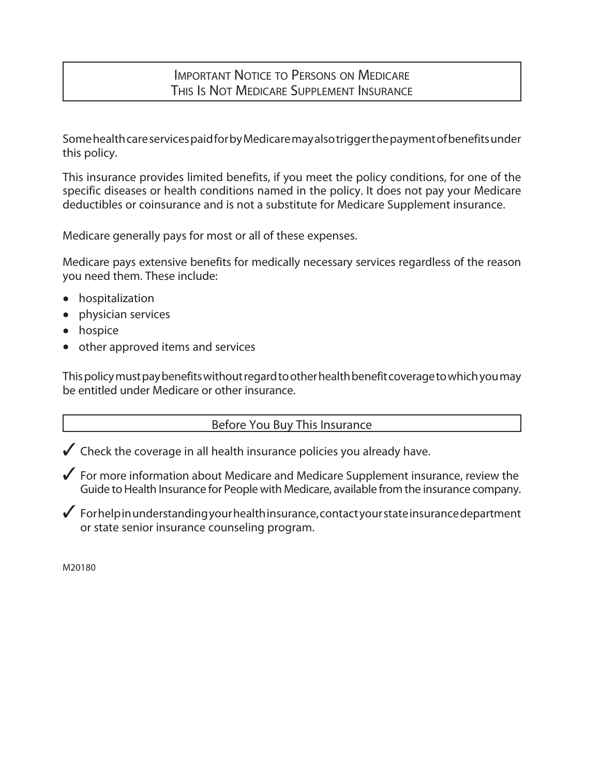### Important Notice to Persons on Medicare This Is Not Medicare Supplement Insurance

Some health care services paid for by Medicare may also trigger the payment of benefits under this policy.

This insurance provides limited benefits, if you meet the policy conditions, for one of the specific diseases or health conditions named in the policy. It does not pay your Medicare deductibles or coinsurance and is not a substitute for Medicare Supplement insurance.

Medicare generally pays for most or all of these expenses.

Medicare pays extensive benefits for medically necessary services regardless of the reason you need them. These include:

- hospitalization
- physician services
- hospice
- other approved items and services

This policy must pay benefits without regard to other health benefit coverage to which you may be entitled under Medicare or other insurance.

### Before You Buy This Insurance

 $\checkmark$  Check the coverage in all health insurance policies you already have.

 $\checkmark$  For more information about Medicare and Medicare Supplement insurance, review the Guide to Health Insurance for People with Medicare, available from the insurance company.

 $\boldsymbol{3}$  For help in understanding your health insurance, contact your state insurance department or state senior insurance counseling program.

M20180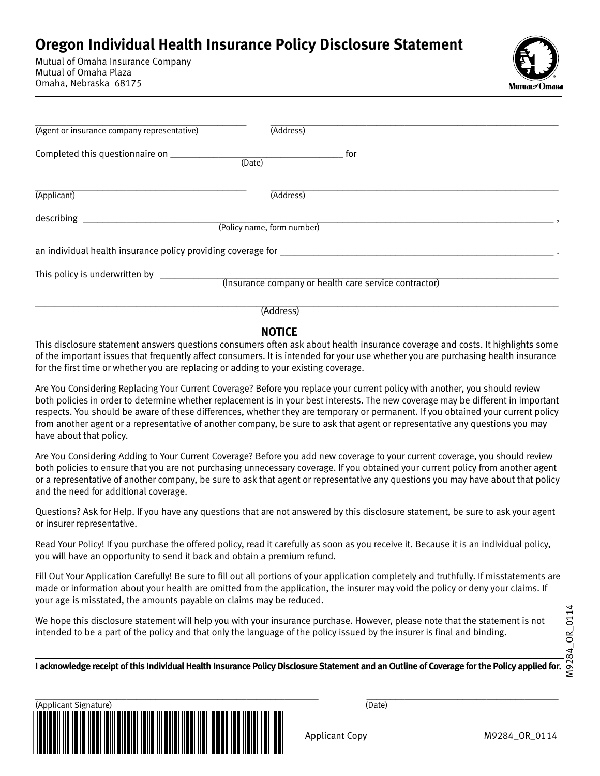# **Oregon Individual Health Insurance Policy Disclosure Statement**

Mutual of Omaha Insurance Company Mutual of Omaha Plaza Omaha, Nebraska 68175



| (Agent or insurance company representative)                                       | (Address)                                             |
|-----------------------------------------------------------------------------------|-------------------------------------------------------|
|                                                                                   | for<br>(Date)                                         |
| (Applicant)                                                                       | (Address)                                             |
| describing                                                                        | (Policy name, form number)                            |
| an individual health insurance policy providing coverage for ____________________ |                                                       |
|                                                                                   | (Insurance company or health care service contractor) |
|                                                                                   | (Address)                                             |

**NOTICE** 

This disclosure statement answers questions consumers often ask about health insurance coverage and costs. It highlights some of the important issues that frequently affect consumers. It is intended for your use whether you are purchasing health insurance for the first time or whether you are replacing or adding to your existing coverage.

Are You Considering Replacing Your Current Coverage? Before you replace your current policy with another, you should review both policies in order to determine whether replacement is in your best interests. The new coverage may be different in important respects. You should be aware of these differences, whether they are temporary or permanent. If you obtained your current policy from another agent or a representative of another company, be sure to ask that agent or representative any questions you may have about that policy.

Are You Considering Adding to Your Current Coverage? Before you add new coverage to your current coverage, you should review both policies to ensure that you are not purchasing unnecessary coverage. If you obtained your current policy from another agent or a representative of another company, be sure to ask that agent or representative any questions you may have about that policy and the need for additional coverage.

Questions? Ask for Help. If you have any questions that are not answered by this disclosure statement, be sure to ask your agent or insurer representative.

Read Your Policy! If you purchase the offered policy, read it carefully as soon as you receive it. Because it is an individual policy, you will have an opportunity to send it back and obtain a premium refund.

Fill Out Your Application Carefully! Be sure to fill out all portions of your application completely and truthfully. If misstatements are made or information about your health are omitted from the application, the insurer may void the policy or deny your claims. If your age is misstated, the amounts payable on claims may be reduced.

We hope this disclosure statement will help you with your insurance purchase. However, please note that the statement is not intended to be a part of the policy and that only the language of the policy issued by the insurer is final and binding.

**I acknowledge receipt of this Individual Health Insurance Policy Disclosure Statement and an Outline of Coverage for the Policy applied for.**

\_\_\_\_\_\_\_\_\_\_\_\_\_\_\_\_\_\_\_\_\_\_\_\_\_\_\_\_\_\_\_\_\_\_\_\_\_\_\_\_\_\_\_\_\_\_\_\_\_\_\_\_\_\_\_\_\_\_\_ \_\_\_\_\_\_\_\_\_\_\_\_\_\_\_\_\_\_\_\_\_\_\_\_\_\_\_\_\_\_\_\_\_\_\_\_\_\_\_\_ (Applicant Signature) (Date)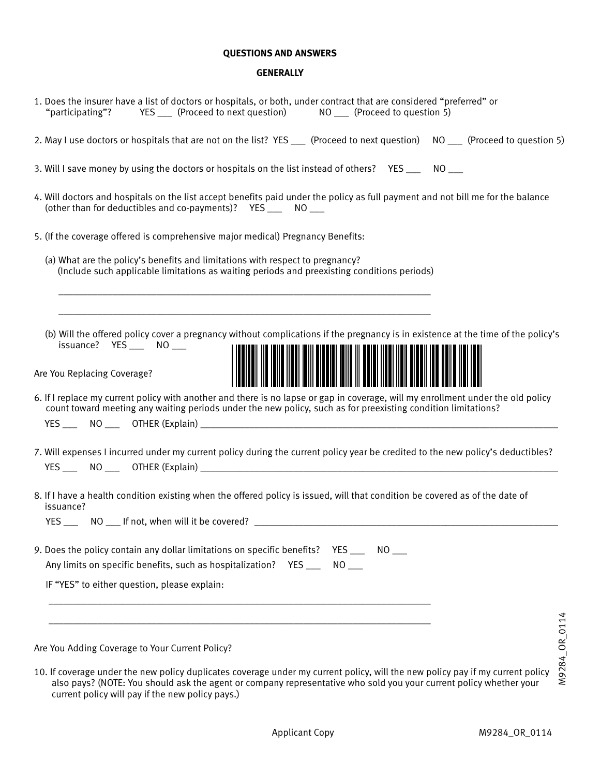#### **QUESTIONS AND ANSWERS**

#### **GENERALLY**

| 1. Does the insurer have a list of doctors or hospitals, or both, under contract that are considered "preferred" or<br>"participating"?  YES __ (Proceed to next question)  NO __ (Proceed to question 5)                                         |
|---------------------------------------------------------------------------------------------------------------------------------------------------------------------------------------------------------------------------------------------------|
| 2. May I use doctors or hospitals that are not on the list? YES ___ (Proceed to next question) NO ___ (Proceed to question 5)                                                                                                                     |
| 3. Will I save money by using the doctors or hospitals on the list instead of others? YES _____ NO ___                                                                                                                                            |
| 4. Will doctors and hospitals on the list accept benefits paid under the policy as full payment and not bill me for the balance<br>(other than for deductibles and co-payments)? YES ___ NO __                                                    |
| 5. (If the coverage offered is comprehensive major medical) Pregnancy Benefits:                                                                                                                                                                   |
| (a) What are the policy's benefits and limitations with respect to pregnancy?<br>(Include such applicable limitations as waiting periods and preexisting conditions periods)                                                                      |
|                                                                                                                                                                                                                                                   |
| (b) Will the offered policy cover a pregnancy without complications if the pregnancy is in existence at the time of the policy's<br>issuance? YES ___ NO ___<br>Are You Replacing Coverage?                                                       |
| 6. If I replace my current policy with another and there is no lapse or gap in coverage, will my enrollment under the old policy<br>count toward meeting any waiting periods under the new policy, such as for preexisting condition limitations? |
| 7. Will expenses I incurred under my current policy during the current policy year be credited to the new policy's deductibles?                                                                                                                   |
|                                                                                                                                                                                                                                                   |
| 8. If I have a health condition existing when the offered policy is issued, will that condition be covered as of the date of<br>issuance?                                                                                                         |
|                                                                                                                                                                                                                                                   |
| 9. Does the policy contain any dollar limitations on specific benefits? YES _____ NO ___<br>Any limits on specific benefits, such as hospitalization? YES ___<br>$NO$ <sub>___</sub>                                                              |
| IF "YES" to either question, please explain:                                                                                                                                                                                                      |
| OR_0114                                                                                                                                                                                                                                           |
| Are You Adding Coverage to Your Current Policy?                                                                                                                                                                                                   |

10. If coverage under the new policy duplicates coverage under my current policy, will the new policy pay if my current policy also pays? (NOTE: You should ask the agent or company representative who sold you your current policy whether your current policy will pay if the new policy pays.)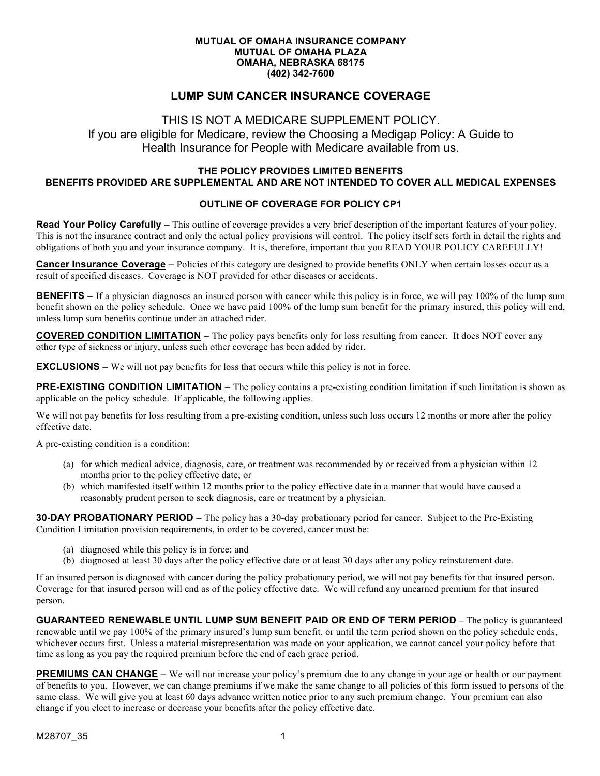#### **MUTUAL OF OMAHA INSURANCE COMPANY MUTUAL OF OMAHA PLAZA OMAHA, NEBRASKA 68175 (402) 342-7600**

#### **LUMP SUM CANCER INSURANCE COVERAGE**

#### THIS IS NOT A MEDICARE SUPPLEMENT POLICY.

If you are eligible for Medicare, review the Choosing a Medigap Policy: A Guide to Health Insurance for People with Medicare available from us.

#### **THE POLICY PROVIDES LIMITED BENEFITS BENEFITS PROVIDED ARE SUPPLEMENTAL AND ARE NOT INTENDED TO COVER ALL MEDICAL EXPENSES**

#### **OUTLINE OF COVERAGE FOR POLICY CP1**

**Read Your Policy Carefully** – This outline of coverage provides a very brief description of the important features of your policy. This is not the insurance contract and only the actual policy provisions will control. The policy itself sets forth in detail the rights and obligations of both you and your insurance company. It is, therefore, important that you READ YOUR POLICY CAREFULLY!

**Cancer Insurance Coverage** – Policies of this category are designed to provide benefits ONLY when certain losses occur as a result of specified diseases. Coverage is NOT provided for other diseases or accidents.

**BENEFITS** – If a physician diagnoses an insured person with cancer while this policy is in force, we will pay 100% of the lump sum benefit shown on the policy schedule. Once we have paid 100% of the lump sum benefit for the primary insured, this policy will end, unless lump sum benefits continue under an attached rider.

**COVERED CONDITION LIMITATION** – The policy pays benefits only for loss resulting from cancer. It does NOT cover any other type of sickness or injury, unless such other coverage has been added by rider.

**EXCLUSIONS** – We will not pay benefits for loss that occurs while this policy is not in force.

**PRE-EXISTING CONDITION LIMITATION** – The policy contains a pre-existing condition limitation if such limitation is shown as applicable on the policy schedule. If applicable, the following applies.

We will not pay benefits for loss resulting from a pre-existing condition, unless such loss occurs 12 months or more after the policy effective date.

A pre-existing condition is a condition:

- (a) for which medical advice, diagnosis, care, or treatment was recommended by or received from a physician within 12 months prior to the policy effective date; or
- (b) which manifested itself within 12 months prior to the policy effective date in a manner that would have caused a reasonably prudent person to seek diagnosis, care or treatment by a physician.

**30-DAY PROBATIONARY PERIOD** – The policy has a 30-day probationary period for cancer. Subject to the Pre-Existing Condition Limitation provision requirements, in order to be covered, cancer must be:

- (a) diagnosed while this policy is in force; and
- (b) diagnosed at least 30 days after the policy effective date or at least 30 days after any policy reinstatement date.

If an insured person is diagnosed with cancer during the policy probationary period, we will not pay benefits for that insured person. Coverage for that insured person will end as of the policy effective date. We will refund any unearned premium for that insured person.

**GUARANTEED RENEWABLE UNTIL LUMP SUM BENEFIT PAID OR END OF TERM PERIOD –** The policy is guaranteed renewable until we pay 100% of the primary insured's lump sum benefit, or until the term period shown on the policy schedule ends, whichever occurs first. Unless a material misrepresentation was made on your application, we cannot cancel your policy before that time as long as you pay the required premium before the end of each grace period.

**PREMIUMS CAN CHANGE** – We will not increase your policy's premium due to any change in your age or health or our payment of benefits to you. However, we can change premiums if we make the same change to all policies of this form issued to persons of the same class. We will give you at least 60 days advance written notice prior to any such premium change. Your premium can also change if you elect to increase or decrease your benefits after the policy effective date.